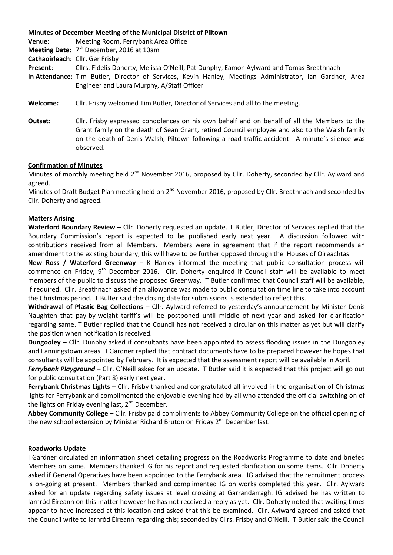| Minutes of December Meeting of the Municipal District of Piltown |                                                                                                                                                                                                                                                                                                               |
|------------------------------------------------------------------|---------------------------------------------------------------------------------------------------------------------------------------------------------------------------------------------------------------------------------------------------------------------------------------------------------------|
| Venue:                                                           | Meeting Room, Ferrybank Area Office                                                                                                                                                                                                                                                                           |
|                                                                  | <b>Meeting Date:</b> $7th$ December, 2016 at 10am                                                                                                                                                                                                                                                             |
|                                                                  | Cathaoirleach: Cllr. Ger Frisby                                                                                                                                                                                                                                                                               |
| Present:                                                         | Cllrs. Fidelis Doherty, Melissa O'Neill, Pat Dunphy, Eamon Aylward and Tomas Breathnach                                                                                                                                                                                                                       |
|                                                                  | In Attendance: Tim Butler, Director of Services, Kevin Hanley, Meetings Administrator, Ian Gardner, Area                                                                                                                                                                                                      |
|                                                                  | Engineer and Laura Murphy, A/Staff Officer                                                                                                                                                                                                                                                                    |
| Welcome:                                                         | Cllr. Frisby welcomed Tim Butler, Director of Services and all to the meeting.                                                                                                                                                                                                                                |
| Outset:                                                          | Cllr. Frisby expressed condolences on his own behalf and on behalf of all the Members to the<br>Grant family on the death of Sean Grant, retired Council employee and also to the Walsh family<br>on the death of Denis Walsh, Piltown following a road traffic accident. A minute's silence was<br>observed. |

## **Confirmation of Minutes**

Minutes of monthly meeting held 2<sup>nd</sup> November 2016, proposed by Cllr. Doherty, seconded by Cllr. Aylward and agreed.

Minutes of Draft Budget Plan meeting held on 2<sup>nd</sup> November 2016, proposed by Cllr. Breathnach and seconded by Cllr. Doherty and agreed.

## **Matters Arising**

**Waterford Boundary Review** – Cllr. Doherty requested an update. T Butler, Director of Services replied that the Boundary Commission's report is expected to be published early next year. A discussion followed with contributions received from all Members. Members were in agreement that if the report recommends an amendment to the existing boundary, this will have to be further opposed through the Houses of Oireachtas.

**New Ross / Waterford Greenway** – K Hanley informed the meeting that public consultation process will commence on Friday, 9<sup>th</sup> December 2016. Cllr. Doherty enquired if Council staff will be available to meet members of the public to discuss the proposed Greenway. T Butler confirmed that Council staff will be available, if required. Cllr. Breathnach asked if an allowance was made to public consultation time line to take into account the Christmas period. T Bulter said the closing date for submissions is extended to reflect this.

**Withdrawal of Plastic Bag Collections** – Cllr. Aylward referred to yesterday's announcement by Minister Denis Naughten that pay-by-weight tariff's will be postponed until middle of next year and asked for clarification regarding same. T Butler replied that the Council has not received a circular on this matter as yet but will clarify the position when notification is received.

**Dungooley** – Cllr. Dunphy asked if consultants have been appointed to assess flooding issues in the Dungooley and Fanningstown areas. I Gardner replied that contract documents have to be prepared however he hopes that consultants will be appointed by February. It is expected that the assessment report will be available in April.

*Ferrybank Playground* **–** Cllr. O'Neill asked for an update. T Butler said it is expected that this project will go out for public consultation (Part 8) early next year.

**Ferrybank Christmas Lights –** Cllr. Frisby thanked and congratulated all involved in the organisation of Christmas lights for Ferrybank and complimented the enjoyable evening had by all who attended the official switching on of the lights on Friday evening last,  $2^{nd}$  December.

**Abbey Community College** – Cllr. Frisby paid compliments to Abbey Community College on the official opening of the new school extension by Minister Richard Bruton on Friday  $2^{nd}$  December last.

#### **Roadworks Update**

I Gardner circulated an information sheet detailing progress on the Roadworks Programme to date and briefed Members on same. Members thanked IG for his report and requested clarification on some items. Cllr. Doherty asked if General Operatives have been appointed to the Ferrybank area. IG advised that the recruitment process is on-going at present. Members thanked and complimented IG on works completed this year. Cllr. Aylward asked for an update regarding safety issues at level crossing at Garrandarragh. IG advised he has written to Iarnród Éireann on this matter however he has not received a reply as yet. Cllr. Doherty noted that waiting times appear to have increased at this location and asked that this be examined. Cllr. Aylward agreed and asked that the Council write to Iarnród Éireann regarding this; seconded by Cllrs. Frisby and O'Neill. T Butler said the Council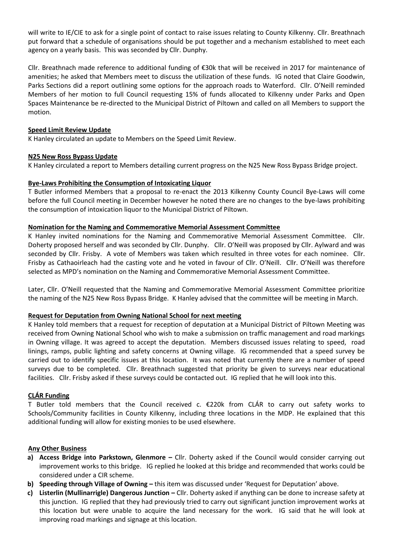will write to IE/CIE to ask for a single point of contact to raise issues relating to County Kilkenny. Cllr. Breathnach put forward that a schedule of organisations should be put together and a mechanism established to meet each agency on a yearly basis. This was seconded by Cllr. Dunphy.

Cllr. Breathnach made reference to additional funding of €30k that will be received in 2017 for maintenance of amenities; he asked that Members meet to discuss the utilization of these funds. IG noted that Claire Goodwin, Parks Sections did a report outlining some options for the approach roads to Waterford. Cllr. O'Neill reminded Members of her motion to full Council requesting 15% of funds allocated to Kilkenny under Parks and Open Spaces Maintenance be re-directed to the Municipal District of Piltown and called on all Members to support the motion.

#### **Speed Limit Review Update**

K Hanley circulated an update to Members on the Speed Limit Review.

## **N25 New Ross Bypass Update**

K Hanley circulated a report to Members detailing current progress on the N25 New Ross Bypass Bridge project.

## **Bye-Laws Prohibiting the Consumption of Intoxicating Liquor**

T Butler informed Members that a proposal to re-enact the 2013 Kilkenny County Council Bye-Laws will come before the full Council meeting in December however he noted there are no changes to the bye-laws prohibiting the consumption of intoxication liquor to the Municipal District of Piltown.

## **Nomination for the Naming and Commemorative Memorial Assessment Committee**

K Hanley invited nominations for the Naming and Commemorative Memorial Assessment Committee. Cllr. Doherty proposed herself and was seconded by Cllr. Dunphy. Cllr. O'Neill was proposed by Cllr. Aylward and was seconded by Cllr. Frisby. A vote of Members was taken which resulted in three votes for each nominee. Cllr. Frisby as Cathaoirleach had the casting vote and he voted in favour of Cllr. O'Neill. Cllr. O'Neill was therefore selected as MPD's nomination on the Naming and Commemorative Memorial Assessment Committee.

Later, Cllr. O'Neill requested that the Naming and Commemorative Memorial Assessment Committee prioritize the naming of the N25 New Ross Bypass Bridge. K Hanley advised that the committee will be meeting in March.

#### **Request for Deputation from Owning National School for next meeting**

K Hanley told members that a request for reception of deputation at a Municipal District of Piltown Meeting was received from Owning National School who wish to make a submission on traffic management and road markings in Owning village. It was agreed to accept the deputation. Members discussed issues relating to speed, road linings, ramps, public lighting and safety concerns at Owning village. IG recommended that a speed survey be carried out to identify specific issues at this location. It was noted that currently there are a number of speed surveys due to be completed. Cllr. Breathnach suggested that priority be given to surveys near educational facilities. Cllr. Frisby asked if these surveys could be contacted out. IG replied that he will look into this.

# **CLÁR Funding**

T Butler told members that the Council received c. €220k from CLÁR to carry out safety works to Schools/Community facilities in County Kilkenny, including three locations in the MDP. He explained that this additional funding will allow for existing monies to be used elsewhere.

#### **Any Other Business**

- **a) Access Bridge into Parkstown, Glenmore –** Cllr. Doherty asked if the Council would consider carrying out improvement works to this bridge. IG replied he looked at this bridge and recommended that works could be considered under a CIR scheme.
- **b) Speeding through Village of Owning –** this item was discussed under 'Request for Deputation' above.
- **c) Listerlin (Mullinarrigle) Dangerous Junction –** Cllr. Doherty asked if anything can be done to increase safety at this junction. IG replied that they had previously tried to carry out significant junction improvement works at this location but were unable to acquire the land necessary for the work. IG said that he will look at improving road markings and signage at this location.